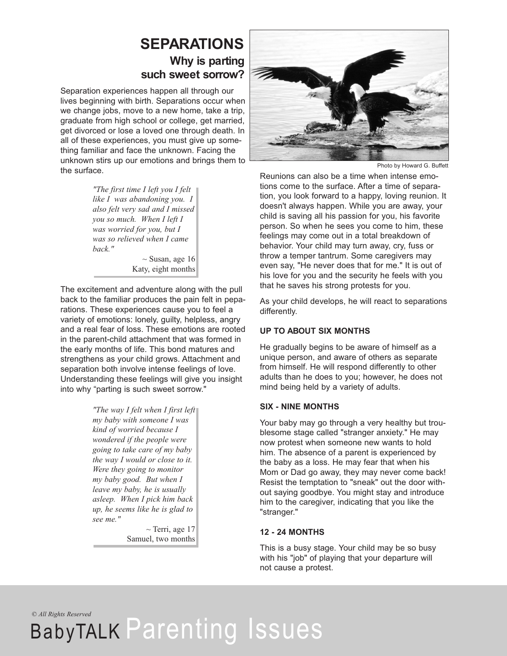### **SEPARATIONS Why is parting such sweet sorrow?**

Separation experiences happen all through our lives beginning with birth. Separations occur when we change jobs, move to a new home, take a trip, graduate from high school or college, get married, get divorced or lose a loved one through death. In all of these experiences, you must give up something familiar and face the unknown. Facing the unknown stirs up our emotions and brings them to the surface.

> *"The first time I left you I felt like I was abandoning you. I also felt very sad and I missed you so much. When I left I was worried for you, but I was so relieved when I came back."*

 $\sim$  Susan, age 16 Katy, eight months

The excitement and adventure along with the pull back to the familiar produces the pain felt in peparations. These experiences cause you to feel a variety of emotions: lonely, guilty, helpless, angry and a real fear of loss. These emotions are rooted in the parent-child attachment that was formed in the early months of life. This bond matures and strengthens as your child grows. Attachment and separation both involve intense feelings of love. Understanding these feelings will give you insight into why "parting is such sweet sorrow."

> *"The way I felt when I first left my baby with someone I was kind of worried because I wondered if the people were going to take care of my baby the way I would or close to it. Were they going to monitor my baby good. But when I leave my baby, he is usually asleep. When I pick him back up, he seems like he is glad to see me."*

> > $\sim$  Terri, age 17 Samuel, two months



Photo by Howard G. Buffett

Reunions can also be a time when intense emotions come to the surface. After a time of separation, you look forward to a happy, loving reunion. It doesn't always happen. While you are away, your child is saving all his passion for you, his favorite person. So when he sees you come to him, these feelings may come out in a total breakdown of behavior. Your child may turn away, cry, fuss or throw a temper tantrum. Some caregivers may even say, "He never does that for me." It is out of his love for you and the security he feels with you that he saves his strong protests for you.

As your child develops, he will react to separations differently.

#### **UP TO ABOUT SIX MONTHS**

He gradually begins to be aware of himself as a unique person, and aware of others as separate from himself. He will respond differently to other adults than he does to you; however, he does not mind being held by a variety of adults.

#### **SIX - NINE MONTHS**

Your baby may go through a very healthy but troublesome stage called "stranger anxiety." He may now protest when someone new wants to hold him. The absence of a parent is experienced by the baby as a loss. He may fear that when his Mom or Dad go away, they may never come back! Resist the temptation to "sneak" out the door without saying goodbye. You might stay and introduce him to the caregiver, indicating that you like the "stranger."

#### **12 - 24 MONTHS**

This is a busy stage. Your child may be so busy with his "job" of playing that your departure will not cause a protest.

*© All Rights Reserved*

# BabyTALK Parenting Issues